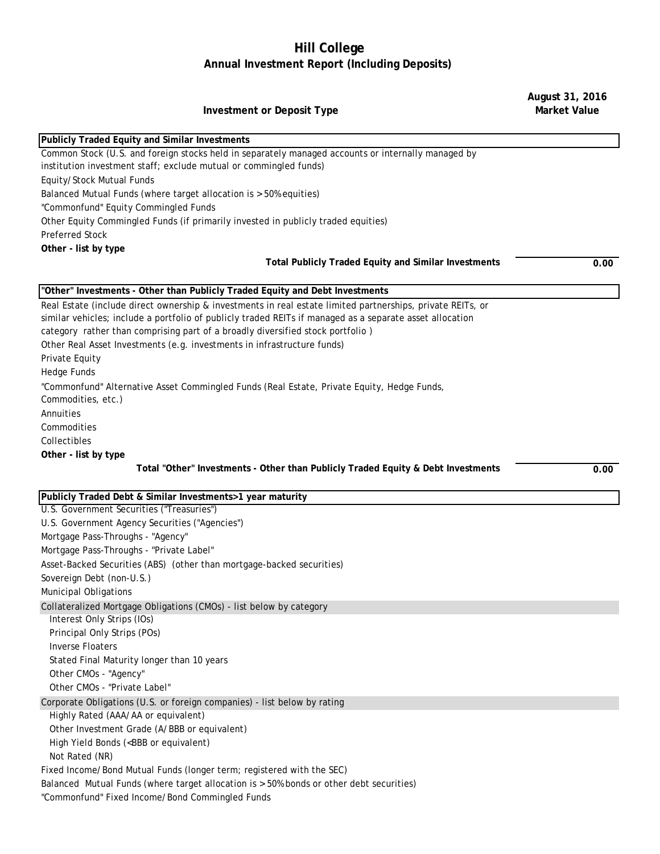## **Hill College Annual Investment Report (Including Deposits)**

**August 31, 2016** 

| <b>Investment or Deposit Type</b>                                                                                                                                                                                                                                                                                                                                                                     | <b>Market Value</b> |
|-------------------------------------------------------------------------------------------------------------------------------------------------------------------------------------------------------------------------------------------------------------------------------------------------------------------------------------------------------------------------------------------------------|---------------------|
| Publicly Traded Equity and Similar Investments                                                                                                                                                                                                                                                                                                                                                        |                     |
| Common Stock (U.S. and foreign stocks held in separately managed accounts or internally managed by<br>institution investment staff; exclude mutual or commingled funds)<br>Equity/Stock Mutual Funds                                                                                                                                                                                                  |                     |
| Balanced Mutual Funds (where target allocation is > 50% equities)<br>"Commonfund" Equity Commingled Funds                                                                                                                                                                                                                                                                                             |                     |
| Other Equity Commingled Funds (if primarily invested in publicly traded equities)                                                                                                                                                                                                                                                                                                                     |                     |
| <b>Preferred Stock</b>                                                                                                                                                                                                                                                                                                                                                                                |                     |
| Other - list by type<br><b>Total Publicly Traded Equity and Similar Investments</b>                                                                                                                                                                                                                                                                                                                   | 0.00                |
| "Other" Investments - Other than Publicly Traded Equity and Debt Investments                                                                                                                                                                                                                                                                                                                          |                     |
| Real Estate (include direct ownership & investments in real estate limited partnerships, private REITs, or<br>similar vehicles; include a portfolio of publicly traded REITs if managed as a separate asset allocation<br>category rather than comprising part of a broadly diversified stock portfolio)<br>Other Real Asset Investments (e.g. investments in infrastructure funds)<br>Private Equity |                     |
| <b>Hedge Funds</b><br>"Commonfund" Alternative Asset Commingled Funds (Real Estate, Private Equity, Hedge Funds,<br>Commodities, etc.)                                                                                                                                                                                                                                                                |                     |
| Annuities<br>Commodities<br>Collectibles                                                                                                                                                                                                                                                                                                                                                              |                     |
| Other - list by type                                                                                                                                                                                                                                                                                                                                                                                  |                     |
| Total "Other" Investments - Other than Publicly Traded Equity & Debt Investments                                                                                                                                                                                                                                                                                                                      | 0.00                |
| Publicly Traded Debt & Similar Investments>1 year maturity                                                                                                                                                                                                                                                                                                                                            |                     |
| U.S. Government Securities ("Treasuries")                                                                                                                                                                                                                                                                                                                                                             |                     |
| U.S. Government Agency Securities ("Agencies")                                                                                                                                                                                                                                                                                                                                                        |                     |
| Mortgage Pass-Throughs - "Agency"                                                                                                                                                                                                                                                                                                                                                                     |                     |
| Mortgage Pass-Throughs - "Private Label"                                                                                                                                                                                                                                                                                                                                                              |                     |
| Asset-Backed Securities (ABS) (other than mortgage-backed securities)                                                                                                                                                                                                                                                                                                                                 |                     |
| Sovereign Debt (non-U.S.)                                                                                                                                                                                                                                                                                                                                                                             |                     |
| Municipal Obligations                                                                                                                                                                                                                                                                                                                                                                                 |                     |
| Collateralized Mortgage Obligations (CMOs) - list below by category<br>Interest Only Strips (IOs)<br>Principal Only Strips (POs)                                                                                                                                                                                                                                                                      |                     |
| <b>Inverse Floaters</b><br>Stated Final Maturity longer than 10 years<br>Other CMOs - "Agency"                                                                                                                                                                                                                                                                                                        |                     |
| Other CMOs - "Private Label"                                                                                                                                                                                                                                                                                                                                                                          |                     |
| Corporate Obligations (U.S. or foreign companies) - list below by rating                                                                                                                                                                                                                                                                                                                              |                     |
| Highly Rated (AAA/AA or equivalent)                                                                                                                                                                                                                                                                                                                                                                   |                     |
| Other Investment Grade (A/BBB or equivalent)                                                                                                                                                                                                                                                                                                                                                          |                     |
| High Yield Bonds ( <bbb equivalent)<="" or="" td=""><td></td></bbb>                                                                                                                                                                                                                                                                                                                                   |                     |
| Not Rated (NR)                                                                                                                                                                                                                                                                                                                                                                                        |                     |
| Fixed Income/Bond Mutual Funds (longer term; registered with the SEC)<br>Balanced Mutual Funds (where target allocation is > 50% bonds or other debt securities)<br>"Commonfund" Fixed Income/Bond Commingled Funds                                                                                                                                                                                   |                     |